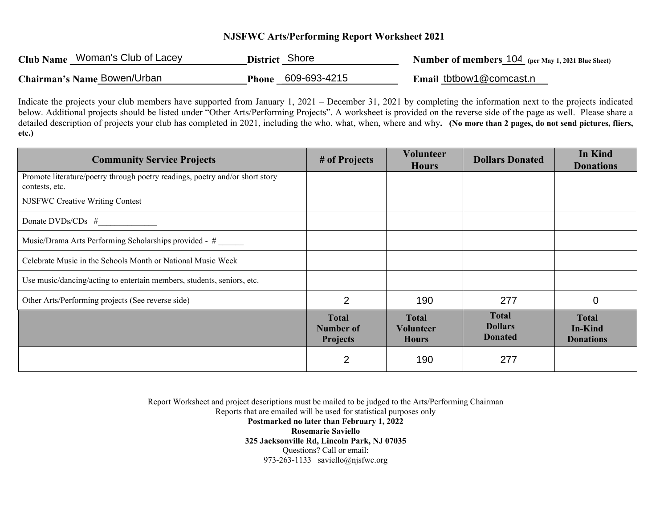## **NJSFWC Arts/Performing Report Worksheet 2021**

| Club Name Woman's Club of Lacey | District Shore            | <b>Number of members 104</b> (per May 1, 2021 Blue Sheet) |
|---------------------------------|---------------------------|-----------------------------------------------------------|
| Chairman's Name Bowen/Urban     | <b>Phone 609-693-4215</b> | Email tbtbow1@comcast.n                                   |

Indicate the projects your club members have supported from January 1, 2021 – December 31, 2021 by completing the information next to the projects indicated below. Additional projects should be listed under "Other Arts/Performing Projects". A worksheet is provided on the reverse side of the page as well. Please share a detailed description of projects your club has completed in 2021, including the who, what, when, where and why**. (No more than 2 pages, do not send pictures, fliers, etc.)** 

| <b>Community Service Projects</b>                                                              | # of Projects                                       | <b>Volunteer</b><br><b>Hours</b>                 | <b>Dollars Donated</b>                           | In Kind<br><b>Donations</b>                        |
|------------------------------------------------------------------------------------------------|-----------------------------------------------------|--------------------------------------------------|--------------------------------------------------|----------------------------------------------------|
| Promote literature/poetry through poetry readings, poetry and/or short story<br>contests, etc. |                                                     |                                                  |                                                  |                                                    |
| NJSFWC Creative Writing Contest                                                                |                                                     |                                                  |                                                  |                                                    |
| Donate DVDs/CDs #                                                                              |                                                     |                                                  |                                                  |                                                    |
| Music/Drama Arts Performing Scholarships provided - #                                          |                                                     |                                                  |                                                  |                                                    |
| Celebrate Music in the Schools Month or National Music Week                                    |                                                     |                                                  |                                                  |                                                    |
| Use music/dancing/acting to entertain members, students, seniors, etc.                         |                                                     |                                                  |                                                  |                                                    |
| Other Arts/Performing projects (See reverse side)                                              | 2                                                   | 190                                              | 277                                              | $\mathbf 0$                                        |
|                                                                                                | <b>Total</b><br><b>Number of</b><br><b>Projects</b> | <b>Total</b><br><b>Volunteer</b><br><b>Hours</b> | <b>Total</b><br><b>Dollars</b><br><b>Donated</b> | <b>Total</b><br><b>In-Kind</b><br><b>Donations</b> |
|                                                                                                | 2                                                   | 190                                              | 277                                              |                                                    |

Report Worksheet and project descriptions must be mailed to be judged to the Arts/Performing Chairman Reports that are emailed will be used for statistical purposes only **Postmarked no later than February 1, 2022 Rosemarie Saviello 325 Jacksonville Rd, Lincoln Park, NJ 07035**  Questions? Call or email: 973-263-1133 saviello@njsfwc.org